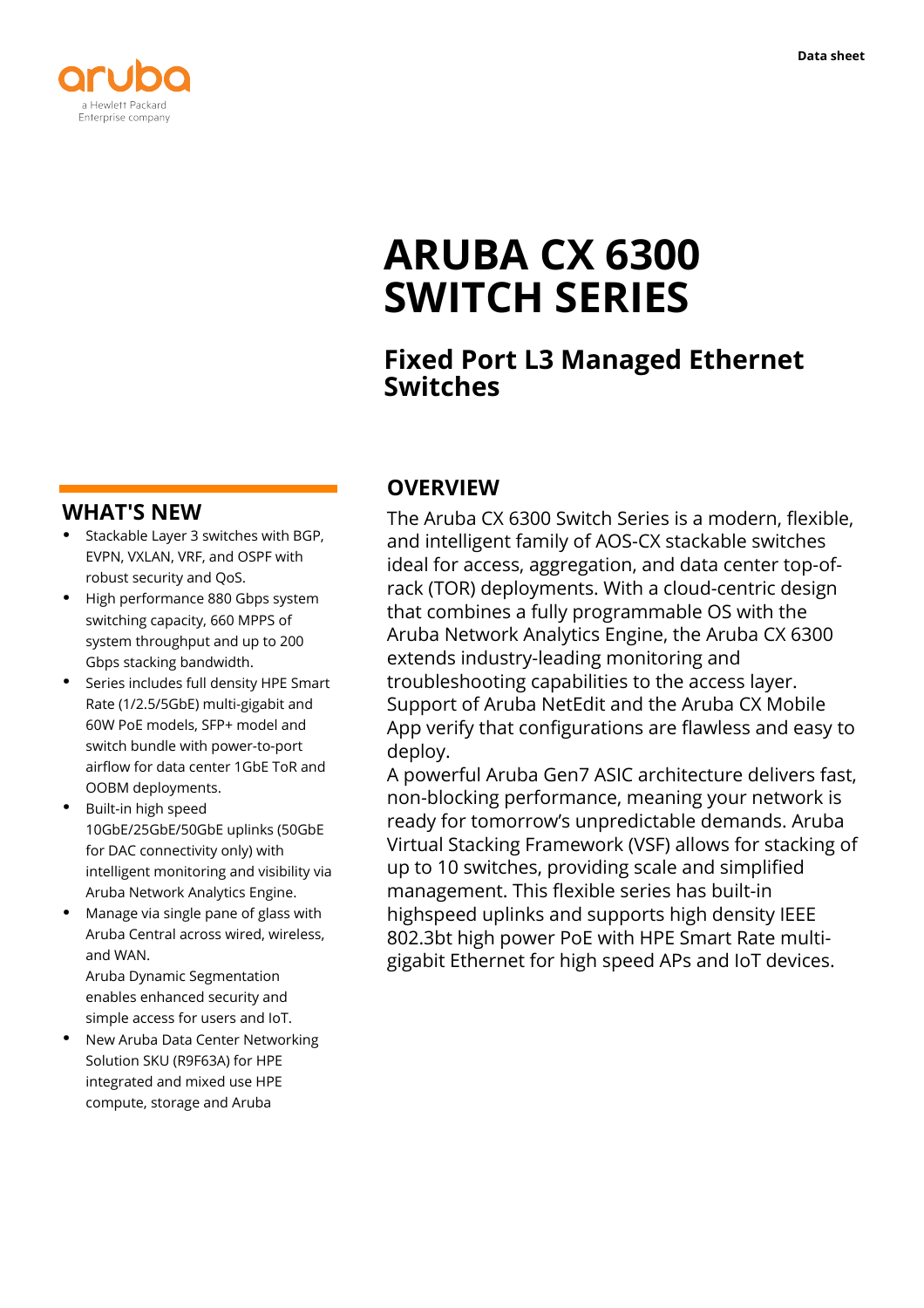

**Data sheet**



# **ARUBA CX 6300 SWITCH SERIES**

# **Fixed Port L3 Managed Ethernet Switches**

## **WHAT'S NEW**

- **·** Stackable Layer 3 switches with BGP, EVPN, VXLAN, VRF, and OSPF with robust security and QoS.
- **·** High performance 880 Gbps system switching capacity, 660 MPPS of system throughput and up to 200 Gbps stacking bandwidth.
- **·** Series includes full density HPE Smart Rate (1/2.5/5GbE) multi-gigabit and 60W PoE models, SFP+ model and switch bundle with power-to-port airflow for data center 1GbE ToR and OOBM deployments.
- **·** Built-in high speed 10GbE/25GbE/50GbE uplinks (50GbE for DAC connectivity only) with intelligent monitoring and visibility via Aruba Network Analytics Engine.
- **·** Manage via single pane of glass with Aruba Central across wired, wireless, and WAN.

Aruba Dynamic Segmentation enables enhanced security and simple access for users and IoT.

**·** New Aruba Data Center Networking Solution SKU (R9F63A) for HPE integrated and mixed use HPE compute, storage and Aruba

# **OVERVIEW**

The Aruba CX 6300 Switch Series is a modern, flexible, and intelligent family of AOS-CX stackable switches ideal for access, aggregation, and data center top-ofrack (TOR) deployments. With a cloud-centric design that combines a fully programmable OS with the Aruba Network Analytics Engine, the Aruba CX 6300 extends industry-leading monitoring and troubleshooting capabilities to the access layer. Support of Aruba NetEdit and the Aruba CX Mobile App verify that configurations are flawless and easy to deploy.

A powerful Aruba Gen7 ASIC architecture delivers fast, non-blocking performance, meaning your network is ready for tomorrow's unpredictable demands. Aruba Virtual Stacking Framework (VSF) allows for stacking of up to 10 switches, providing scale and simplified management. This flexible series has built-in highspeed uplinks and supports high density IEEE 802.3bt high power PoE with HPE Smart Rate multigigabit Ethernet for high speed APs and IoT devices.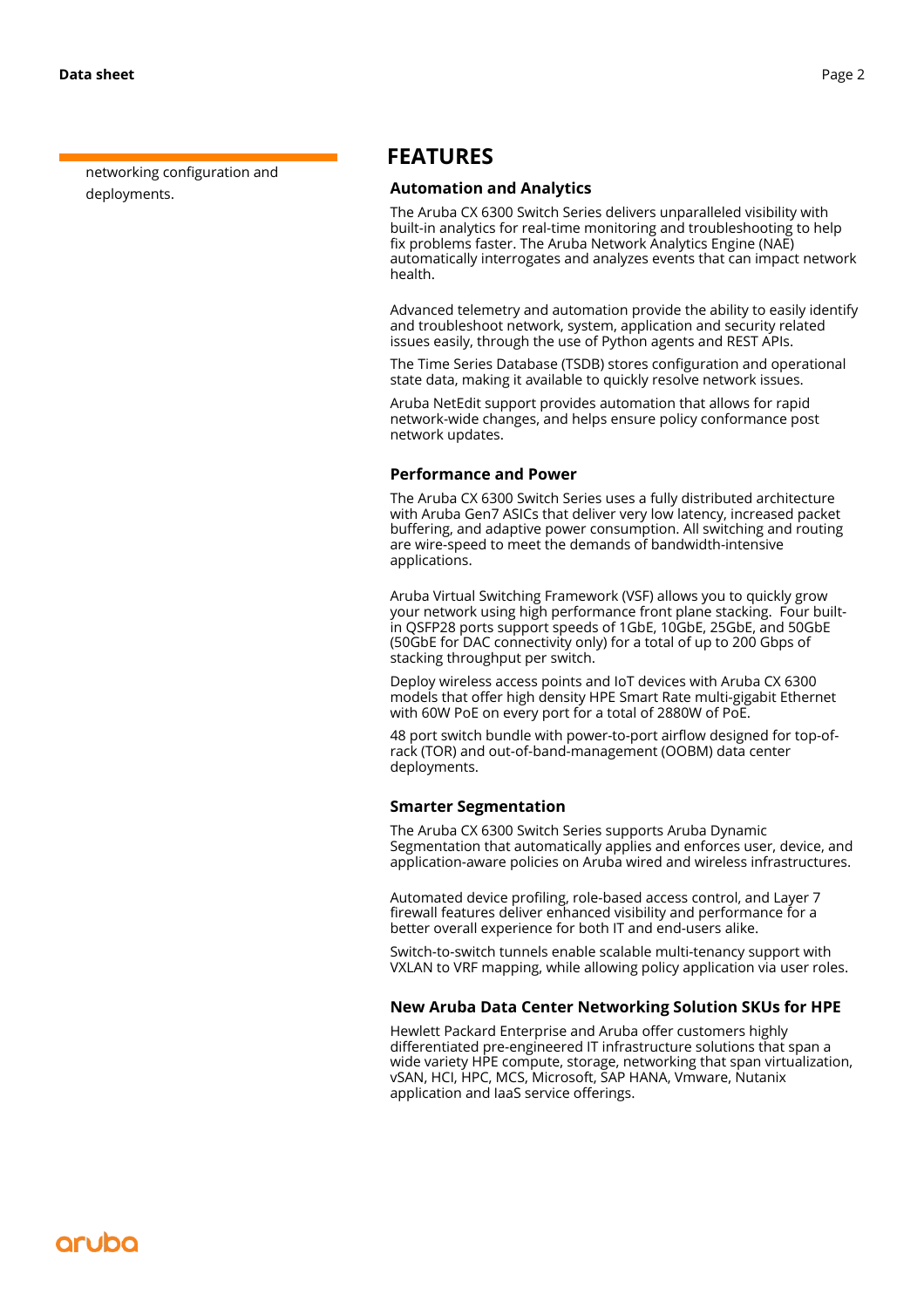networking configuration and deployments.

### **FEATURES**

#### **Automation and Analytics**

The Aruba CX 6300 Switch Series delivers unparalleled visibility with built-in analytics for real-time monitoring and troubleshooting to help fix problems faster. The Aruba Network Analytics Engine (NAE) automatically interrogates and analyzes events that can impact network health.

Advanced telemetry and automation provide the ability to easily identify and troubleshoot network, system, application and security related issues easily, through the use of Python agents and REST APIs.

The Time Series Database (TSDB) stores configuration and operational state data, making it available to quickly resolve network issues.

Aruba NetEdit support provides automation that allows for rapid network-wide changes, and helps ensure policy conformance post network updates.

#### **Performance and Power**

The Aruba CX 6300 Switch Series uses a fully distributed architecture with Aruba Gen7 ASICs that deliver very low latency, increased packet buffering, and adaptive power consumption. All switching and routing are wire-speed to meet the demands of bandwidth-intensive applications.

Aruba Virtual Switching Framework (VSF) allows you to quickly grow your network using high performance front plane stacking. Four builtin QSFP28 ports support speeds of 1GbE, 10GbE, 25GbE, and 50GbE (50GbE for DAC connectivity only) for a total of up to 200 Gbps of stacking throughput per switch.

Deploy wireless access points and IoT devices with Aruba CX 6300 models that offer high density HPE Smart Rate multi-gigabit Ethernet with 60W PoE on every port for a total of 2880W of PoE.

48 port switch bundle with power-to-port airflow designed for top-ofrack (TOR) and out-of-band-management (OOBM) data center deployments.

#### **Smarter Segmentation**

The Aruba CX 6300 Switch Series supports Aruba Dynamic Segmentation that automatically applies and enforces user, device, and application-aware policies on Aruba wired and wireless infrastructures.

Automated device profiling, role-based access control, and Layer 7 firewall features deliver enhanced visibility and performance for a better overall experience for both IT and end-users alike.

Switch-to-switch tunnels enable scalable multi-tenancy support with VXLAN to VRF mapping, while allowing policy application via user roles.

#### **New Aruba Data Center Networking Solution SKUs for HPE**

Hewlett Packard Enterprise and Aruba offer customers highly differentiated pre-engineered IT infrastructure solutions that span a wide variety HPE compute, storage, networking that span virtualization, vSAN, HCI, HPC, MCS, Microsoft, SAP HANA, Vmware, Nutanix application and IaaS service offerings.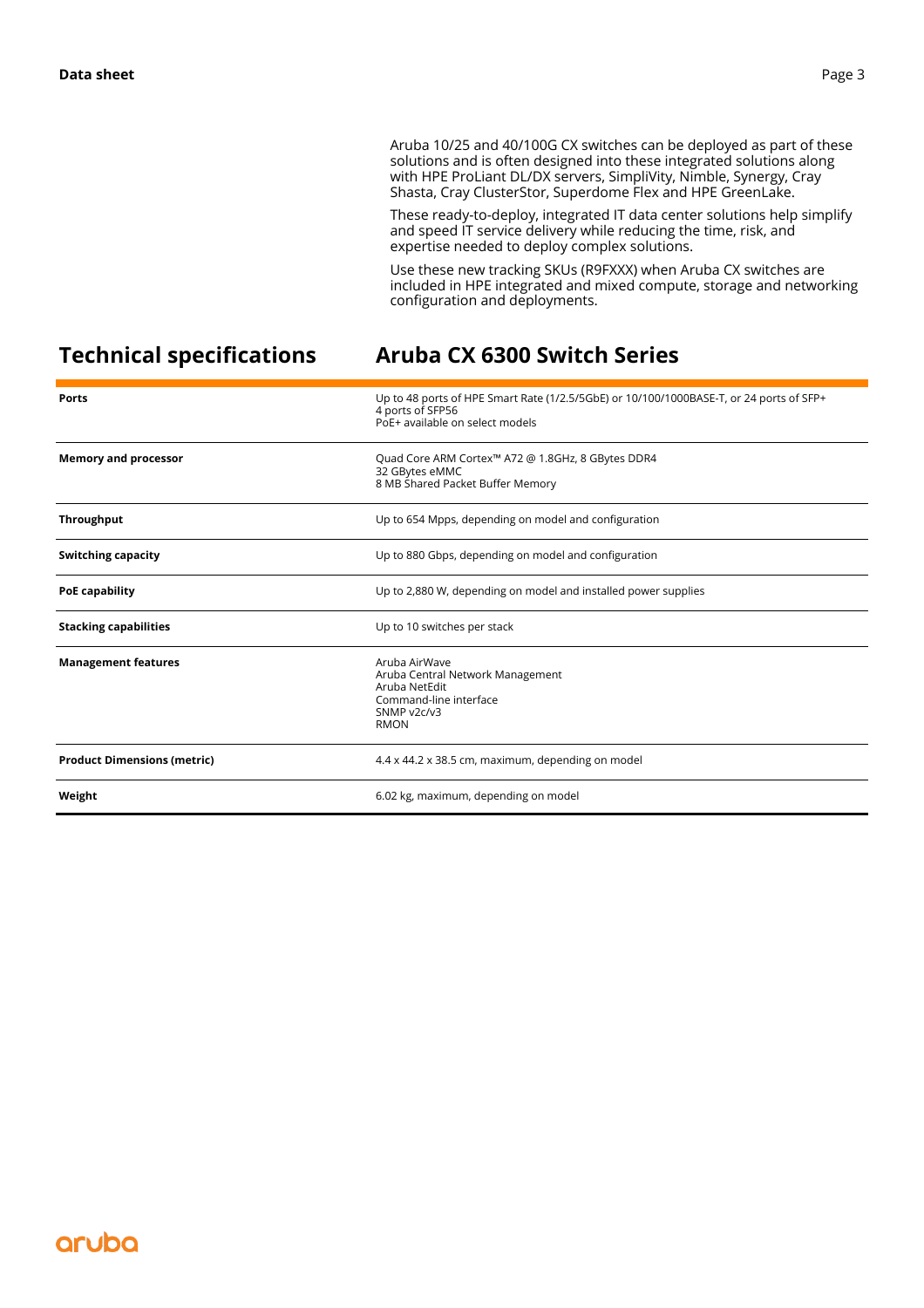Aruba 10/25 and 40/100G CX switches can be deployed as part of these solutions and is often designed into these integrated solutions along with HPE ProLiant DL/DX servers, SimpliVity, Nimble, Synergy, Cray Shasta, Cray ClusterStor, Superdome Flex and HPE GreenLake.

These ready-to-deploy, integrated IT data center solutions help simplify and speed IT service delivery while reducing the time, risk, and expertise needed to deploy complex solutions.

Use these new tracking SKUs (R9FXXX) when Aruba CX switches are included in HPE integrated and mixed compute, storage and networking configuration and deployments.

# **Technical specifications Aruba CX 6300 Switch Series**

| <b>Ports</b>                       | Up to 48 ports of HPE Smart Rate (1/2.5/5GbE) or 10/100/1000BASE-T, or 24 ports of SFP+<br>4 ports of SFP56<br>PoE+ available on select models |
|------------------------------------|------------------------------------------------------------------------------------------------------------------------------------------------|
| <b>Memory and processor</b>        | Quad Core ARM Cortex™ A72 @ 1.8GHz, 8 GBytes DDR4<br>32 GBytes eMMC<br>8 MB Shared Packet Buffer Memory                                        |
| <b>Throughput</b>                  | Up to 654 Mpps, depending on model and configuration                                                                                           |
| <b>Switching capacity</b>          | Up to 880 Gbps, depending on model and configuration                                                                                           |
| <b>PoE capability</b>              | Up to 2,880 W, depending on model and installed power supplies                                                                                 |
| <b>Stacking capabilities</b>       | Up to 10 switches per stack                                                                                                                    |
| <b>Management features</b>         | Aruba AirWave<br>Aruba Central Network Management<br>Aruba NetEdit<br>Command-line interface<br>SNMP v2c/v3<br><b>RMON</b>                     |
| <b>Product Dimensions (metric)</b> | 4.4 x 44.2 x 38.5 cm, maximum, depending on model                                                                                              |
| Weight                             | 6.02 kg, maximum, depending on model                                                                                                           |